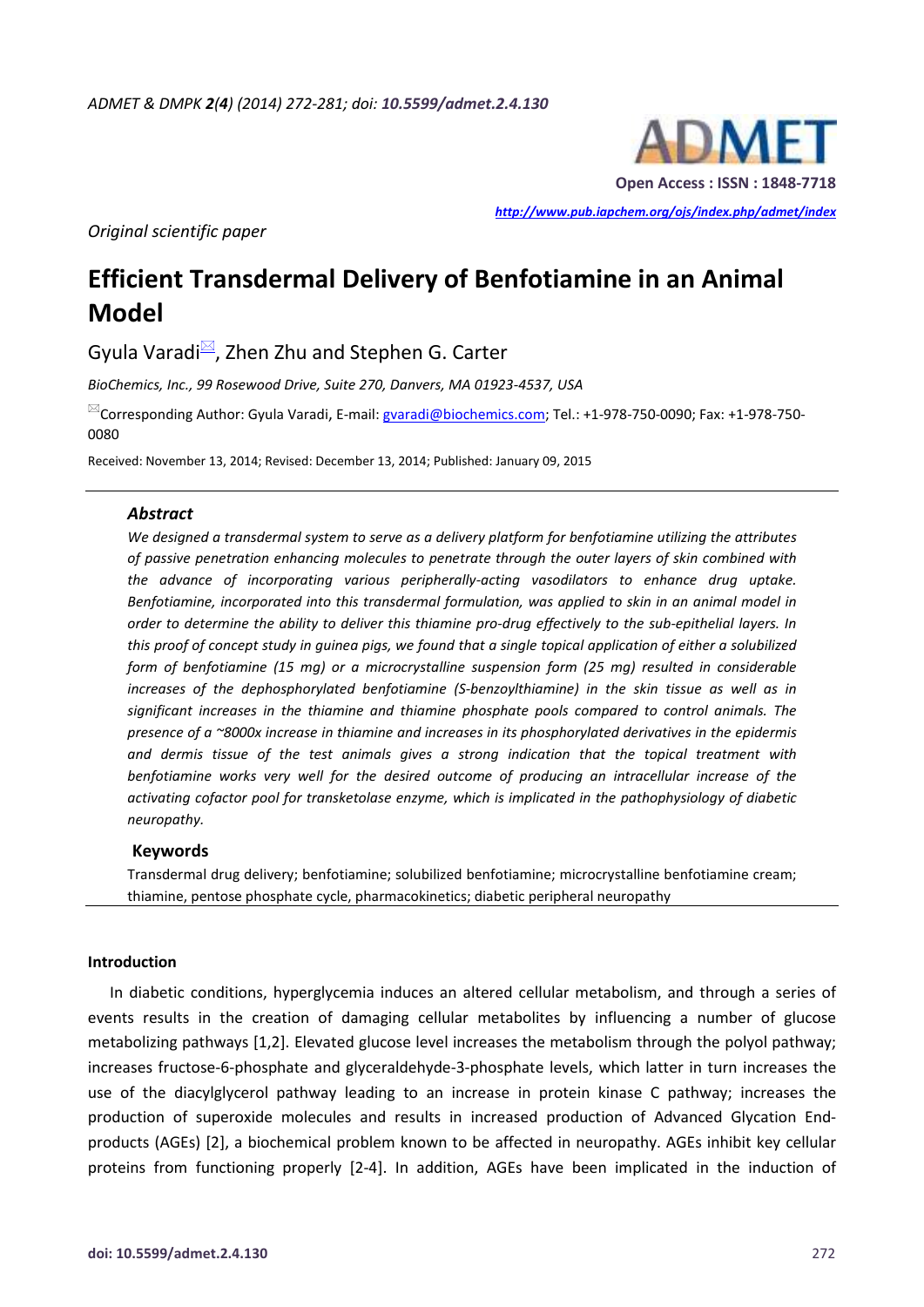

*http://www.pub.iapchem.org/ojs/index.php/admet/index* 

*Original scientific paper* 

# **Efficient Transdermal Delivery of Benfotiamine in an Animal Model**

Gyula Varadi $\mathbb{Z}$ , Zhen Zhu and Stephen G. Carter

*BioChemics, Inc., 99 Rosewood Drive, Suite 270, Danvers, MA 01923-4537, USA* 

<sup>⊠</sup>Corresponding Author: Gyula Varadi, E-mail: gvaradi@biochemics.com; Tel.: +1-978-750-0090; Fax: +1-978-750-0080

Received: November 13, 2014; Revised: December 13, 2014; Published: January 09, 2015

#### *Abstract*

*We designed a transdermal system to serve as a delivery platform for benfotiamine utilizing the attributes of passive penetration enhancing molecules to penetrate through the outer layers of skin combined with the advance of incorporating various peripherally-acting vasodilators to enhance drug uptake. Benfotiamine, incorporated into this transdermal formulation, was applied to skin in an animal model in order to determine the ability to deliver this thiamine pro-drug effectively to the sub-epithelial layers. In this proof of concept study in guinea pigs, we found that a single topical application of either a solubilized form of benfotiamine (15 mg) or a microcrystalline suspension form (25 mg) resulted in considerable increases of the dephosphorylated benfotiamine (S-benzoylthiamine) in the skin tissue as well as in significant increases in the thiamine and thiamine phosphate pools compared to control animals. The presence of a ~8000x increase in thiamine and increases in its phosphorylated derivatives in the epidermis and dermis tissue of the test animals gives a strong indication that the topical treatment with benfotiamine works very well for the desired outcome of producing an intracellular increase of the activating cofactor pool for transketolase enzyme, which is implicated in the pathophysiology of diabetic neuropathy.* 

## **Keywords**

Transdermal drug delivery; benfotiamine; solubilized benfotiamine; microcrystalline benfotiamine cream; thiamine, pentose phosphate cycle, pharmacokinetics; diabetic peripheral neuropathy

## **Introduction**

In diabetic conditions, hyperglycemia induces an altered cellular metabolism, and through a series of events results in the creation of damaging cellular metabolites by influencing a number of glucose metabolizing pathways [1,2]. Elevated glucose level increases the metabolism through the polyol pathway; increases fructose-6-phosphate and glyceraldehyde-3-phosphate levels, which latter in turn increases the use of the diacylglycerol pathway leading to an increase in protein kinase C pathway; increases the production of superoxide molecules and results in increased production of Advanced Glycation Endproducts (AGEs) [2], a biochemical problem known to be affected in neuropathy. AGEs inhibit key cellular proteins from functioning properly [2-4]. In addition, AGEs have been implicated in the induction of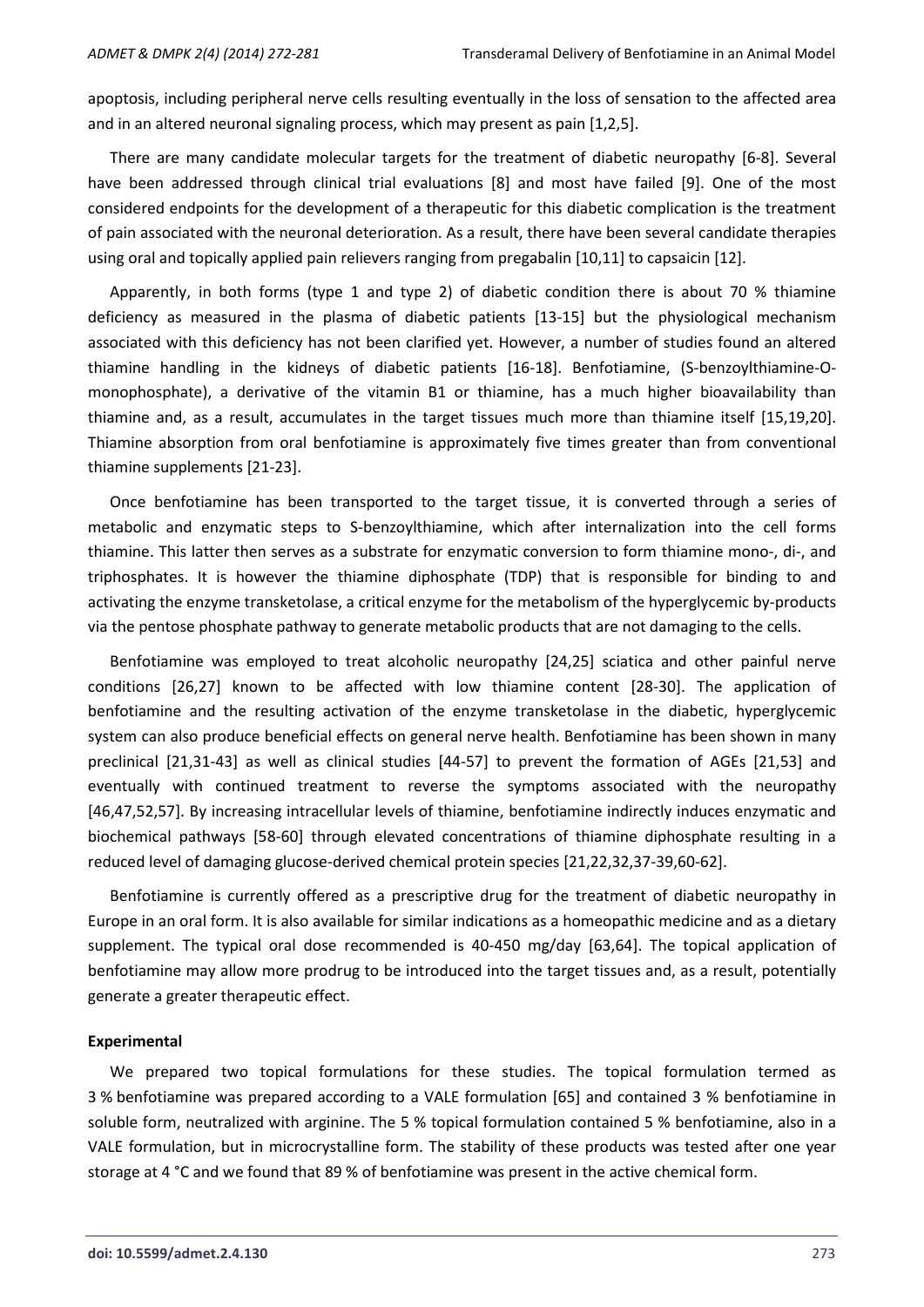apoptosis, including peripheral nerve cells resulting eventually in the loss of sensation to the affected area and in an altered neuronal signaling process, which may present as pain [1,2,5].

There are many candidate molecular targets for the treatment of diabetic neuropathy [6-8]. Several have been addressed through clinical trial evaluations [8] and most have failed [9]. One of the most considered endpoints for the development of a therapeutic for this diabetic complication is the treatment of pain associated with the neuronal deterioration. As a result, there have been several candidate therapies using oral and topically applied pain relievers ranging from pregabalin [10,11] to capsaicin [12].

Apparently, in both forms (type 1 and type 2) of diabetic condition there is about 70 % thiamine deficiency as measured in the plasma of diabetic patients [13-15] but the physiological mechanism associated with this deficiency has not been clarified yet. However, a number of studies found an altered thiamine handling in the kidneys of diabetic patients [16-18]. Benfotiamine, (S-benzoylthiamine-Omonophosphate), a derivative of the vitamin B1 or thiamine, has a much higher bioavailability than thiamine and, as a result, accumulates in the target tissues much more than thiamine itself [15,19,20]. Thiamine absorption from oral benfotiamine is approximately five times greater than from conventional thiamine supplements [21-23].

Once benfotiamine has been transported to the target tissue, it is converted through a series of metabolic and enzymatic steps to S-benzoylthiamine, which after internalization into the cell forms thiamine. This latter then serves as a substrate for enzymatic conversion to form thiamine mono-, di-, and triphosphates. It is however the thiamine diphosphate (TDP) that is responsible for binding to and activating the enzyme transketolase, a critical enzyme for the metabolism of the hyperglycemic by-products via the pentose phosphate pathway to generate metabolic products that are not damaging to the cells.

Benfotiamine was employed to treat alcoholic neuropathy [24,25] sciatica and other painful nerve conditions [26,27] known to be affected with low thiamine content [28-30]. The application of benfotiamine and the resulting activation of the enzyme transketolase in the diabetic, hyperglycemic system can also produce beneficial effects on general nerve health. Benfotiamine has been shown in many preclinical [21,31-43] as well as clinical studies [44-57] to prevent the formation of AGEs [21,53] and eventually with continued treatment to reverse the symptoms associated with the neuropathy [46,47,52,57]. By increasing intracellular levels of thiamine, benfotiamine indirectly induces enzymatic and biochemical pathways [58-60] through elevated concentrations of thiamine diphosphate resulting in a reduced level of damaging glucose-derived chemical protein species [21,22,32,37-39,60-62].

Benfotiamine is currently offered as a prescriptive drug for the treatment of diabetic neuropathy in Europe in an oral form. It is also available for similar indications as a homeopathic medicine and as a dietary supplement. The typical oral dose recommended is 40-450 mg/day [63,64]. The topical application of benfotiamine may allow more prodrug to be introduced into the target tissues and, as a result, potentially generate a greater therapeutic effect.

## **Experimental**

We prepared two topical formulations for these studies. The topical formulation termed as 3 % benfotiamine was prepared according to a VALE formulation [65] and contained 3 % benfotiamine in soluble form, neutralized with arginine. The 5 % topical formulation contained 5 % benfotiamine, also in a VALE formulation, but in microcrystalline form. The stability of these products was tested after one year storage at 4 °C and we found that 89 % of benfotiamine was present in the active chemical form.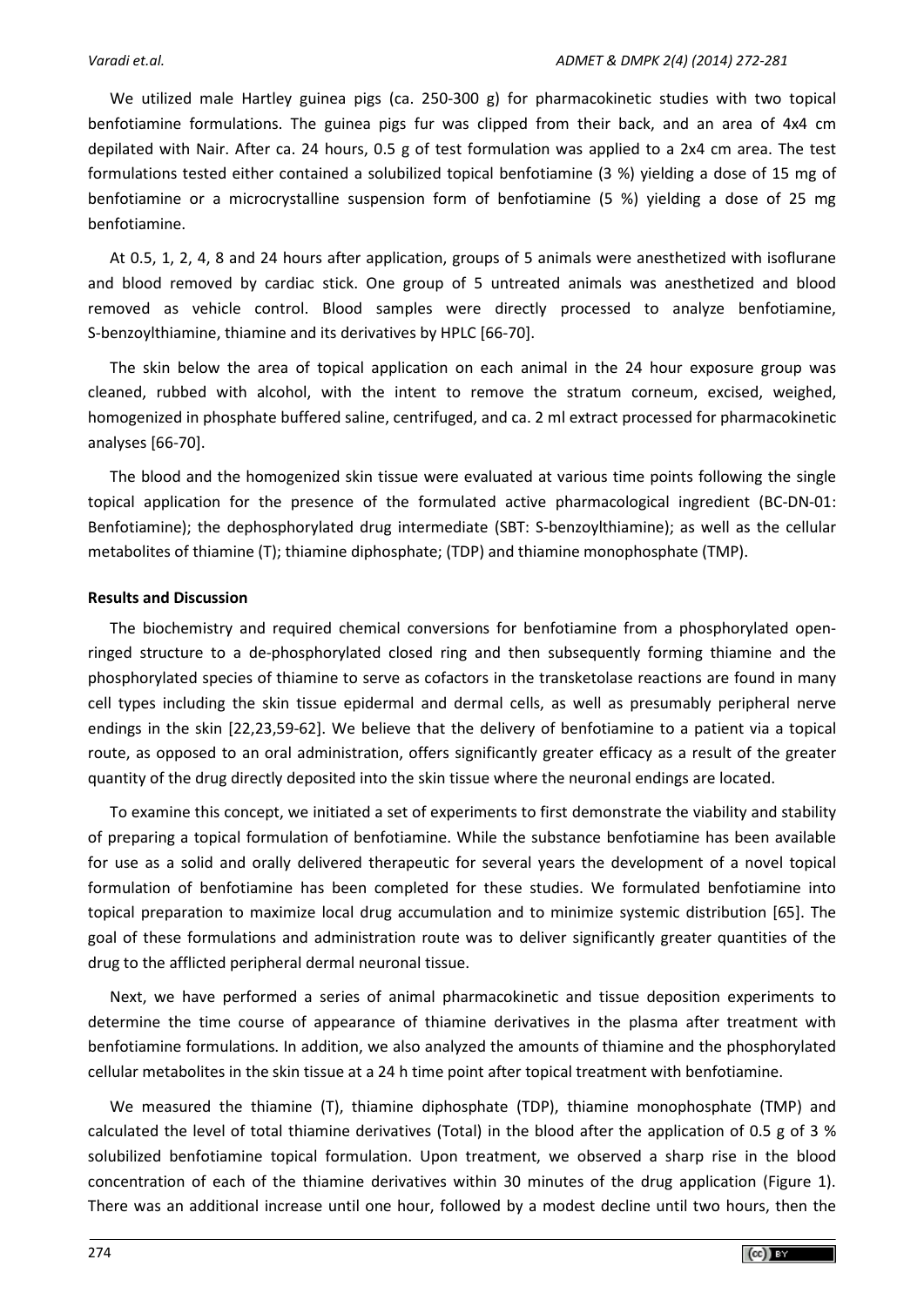We utilized male Hartley guinea pigs (ca. 250-300 g) for pharmacokinetic studies with two topical benfotiamine formulations. The guinea pigs fur was clipped from their back, and an area of 4x4 cm depilated with Nair. After ca. 24 hours, 0.5 g of test formulation was applied to a 2x4 cm area. The test formulations tested either contained a solubilized topical benfotiamine (3 %) yielding a dose of 15 mg of benfotiamine or a microcrystalline suspension form of benfotiamine (5 %) yielding a dose of 25 mg benfotiamine.

At 0.5, 1, 2, 4, 8 and 24 hours after application, groups of 5 animals were anesthetized with isoflurane and blood removed by cardiac stick. One group of 5 untreated animals was anesthetized and blood removed as vehicle control. Blood samples were directly processed to analyze benfotiamine, S-benzoylthiamine, thiamine and its derivatives by HPLC [66-70].

The skin below the area of topical application on each animal in the 24 hour exposure group was cleaned, rubbed with alcohol, with the intent to remove the stratum corneum, excised, weighed, homogenized in phosphate buffered saline, centrifuged, and ca. 2 ml extract processed for pharmacokinetic analyses [66-70].

The blood and the homogenized skin tissue were evaluated at various time points following the single topical application for the presence of the formulated active pharmacological ingredient (BC-DN-01: Benfotiamine); the dephosphorylated drug intermediate (SBT: S-benzoylthiamine); as well as the cellular metabolites of thiamine (T); thiamine diphosphate; (TDP) and thiamine monophosphate (TMP).

# **Results and Discussion**

The biochemistry and required chemical conversions for benfotiamine from a phosphorylated openringed structure to a de-phosphorylated closed ring and then subsequently forming thiamine and the phosphorylated species of thiamine to serve as cofactors in the transketolase reactions are found in many cell types including the skin tissue epidermal and dermal cells, as well as presumably peripheral nerve endings in the skin [22,23,59-62]. We believe that the delivery of benfotiamine to a patient via a topical route, as opposed to an oral administration, offers significantly greater efficacy as a result of the greater quantity of the drug directly deposited into the skin tissue where the neuronal endings are located.

To examine this concept, we initiated a set of experiments to first demonstrate the viability and stability of preparing a topical formulation of benfotiamine. While the substance benfotiamine has been available for use as a solid and orally delivered therapeutic for several years the development of a novel topical formulation of benfotiamine has been completed for these studies. We formulated benfotiamine into topical preparation to maximize local drug accumulation and to minimize systemic distribution [65]. The goal of these formulations and administration route was to deliver significantly greater quantities of the drug to the afflicted peripheral dermal neuronal tissue.

Next, we have performed a series of animal pharmacokinetic and tissue deposition experiments to determine the time course of appearance of thiamine derivatives in the plasma after treatment with benfotiamine formulations. In addition, we also analyzed the amounts of thiamine and the phosphorylated cellular metabolites in the skin tissue at a 24 h time point after topical treatment with benfotiamine.

We measured the thiamine (T), thiamine diphosphate (TDP), thiamine monophosphate (TMP) and calculated the level of total thiamine derivatives (Total) in the blood after the application of 0.5 g of 3 % solubilized benfotiamine topical formulation. Upon treatment, we observed a sharp rise in the blood concentration of each of the thiamine derivatives within 30 minutes of the drug application (Figure 1). There was an additional increase until one hour, followed by a modest decline until two hours, then the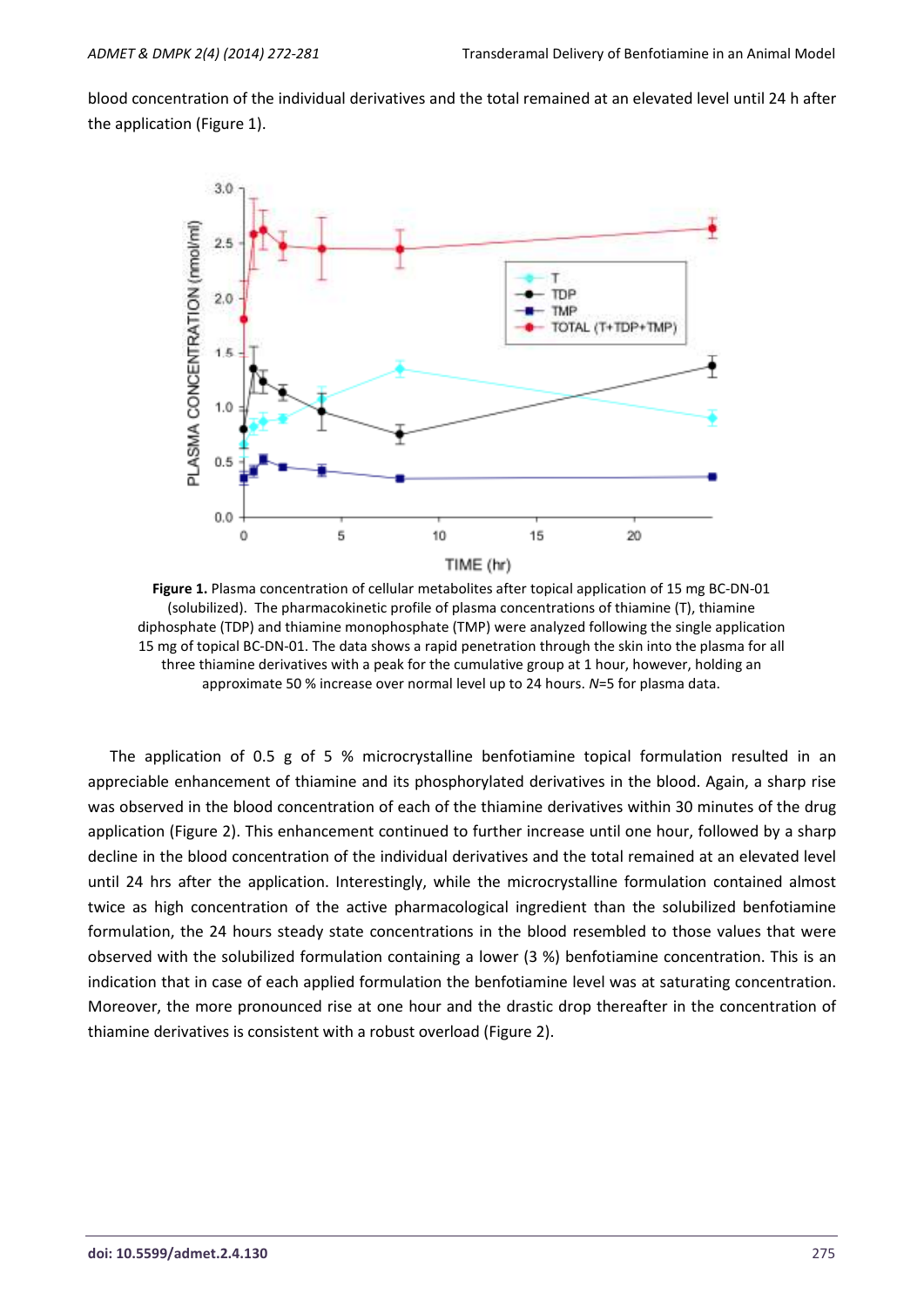blood concentration of the individual derivatives and the total remained at an elevated level until 24 h after the application (Figure 1).



**Figure 1.** Plasma concentration of cellular metabolites after topical application of 15 mg BC-DN-01 (solubilized). The pharmacokinetic profile of plasma concentrations of thiamine (T), thiamine diphosphate (TDP) and thiamine monophosphate (TMP) were analyzed following the single application 15 mg of topical BC-DN-01. The data shows a rapid penetration through the skin into the plasma for all three thiamine derivatives with a peak for the cumulative group at 1 hour, however, holding an approximate 50 % increase over normal level up to 24 hours. *N*=5 for plasma data.

The application of 0.5 g of 5 % microcrystalline benfotiamine topical formulation resulted in an appreciable enhancement of thiamine and its phosphorylated derivatives in the blood. Again, a sharp rise was observed in the blood concentration of each of the thiamine derivatives within 30 minutes of the drug application (Figure 2). This enhancement continued to further increase until one hour, followed by a sharp decline in the blood concentration of the individual derivatives and the total remained at an elevated level until 24 hrs after the application. Interestingly, while the microcrystalline formulation contained almost twice as high concentration of the active pharmacological ingredient than the solubilized benfotiamine formulation, the 24 hours steady state concentrations in the blood resembled to those values that were observed with the solubilized formulation containing a lower (3 %) benfotiamine concentration. This is an indication that in case of each applied formulation the benfotiamine level was at saturating concentration. Moreover, the more pronounced rise at one hour and the drastic drop thereafter in the concentration of thiamine derivatives is consistent with a robust overload (Figure 2).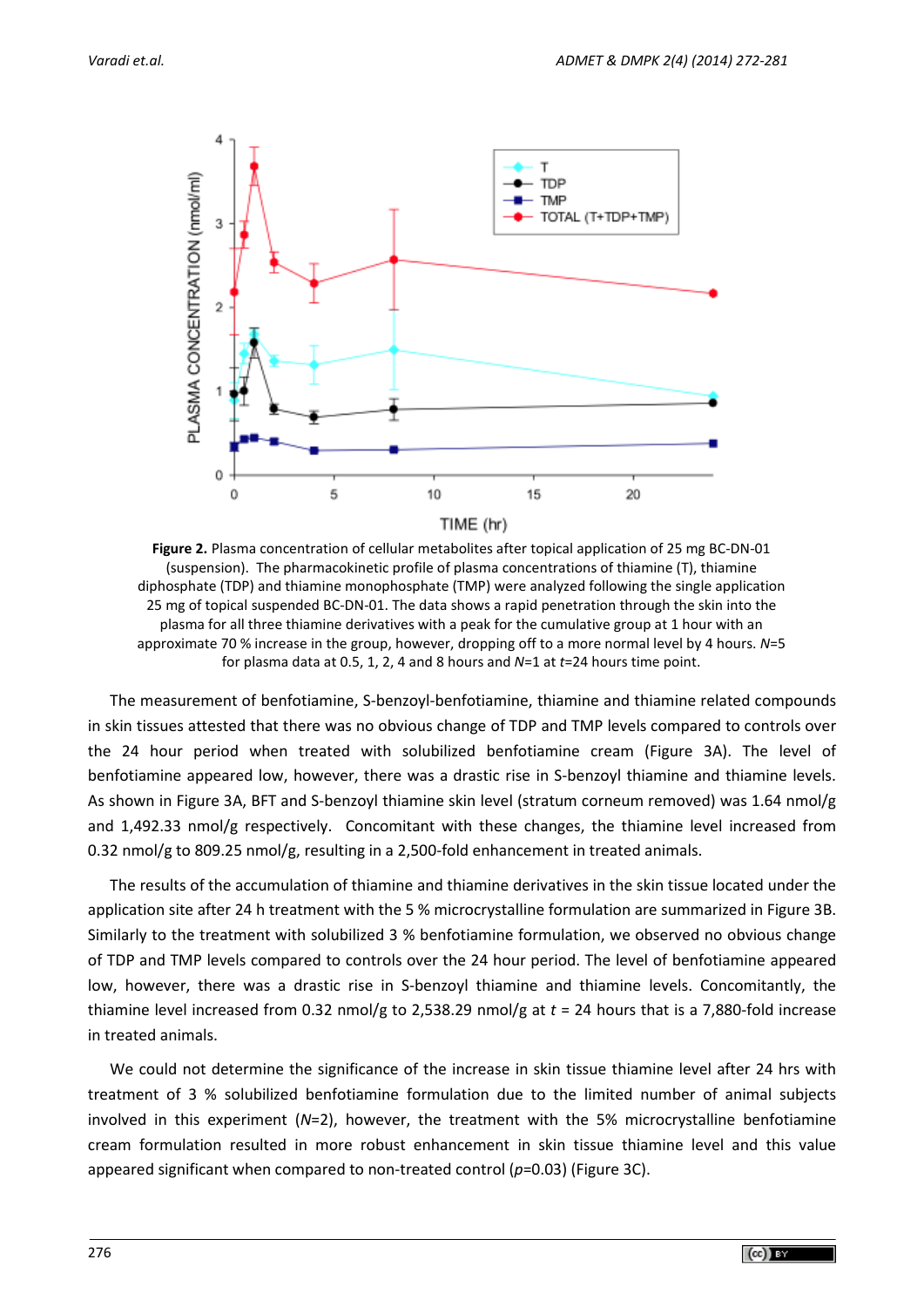

**Figure 2.** Plasma concentration of cellular metabolites after topical application of 25 mg BC-DN-01 (suspension). The pharmacokinetic profile of plasma concentrations of thiamine (T), thiamine diphosphate (TDP) and thiamine monophosphate (TMP) were analyzed following the single application 25 mg of topical suspended BC-DN-01. The data shows a rapid penetration through the skin into the plasma for all three thiamine derivatives with a peak for the cumulative group at 1 hour with an approximate 70 % increase in the group, however, dropping off to a more normal level by 4 hours. *N*=5 for plasma data at 0.5, 1, 2, 4 and 8 hours and *N*=1 at *t*=24 hours time point.

The measurement of benfotiamine, S-benzoyl-benfotiamine, thiamine and thiamine related compounds in skin tissues attested that there was no obvious change of TDP and TMP levels compared to controls over the 24 hour period when treated with solubilized benfotiamine cream (Figure 3A). The level of benfotiamine appeared low, however, there was a drastic rise in S-benzoyl thiamine and thiamine levels. As shown in Figure 3A, BFT and S-benzoyl thiamine skin level (stratum corneum removed) was 1.64 nmol/g and 1,492.33 nmol/g respectively. Concomitant with these changes, the thiamine level increased from 0.32 nmol/g to 809.25 nmol/g, resulting in a 2,500-fold enhancement in treated animals.

The results of the accumulation of thiamine and thiamine derivatives in the skin tissue located under the application site after 24 h treatment with the 5 % microcrystalline formulation are summarized in Figure 3B. Similarly to the treatment with solubilized 3 % benfotiamine formulation, we observed no obvious change of TDP and TMP levels compared to controls over the 24 hour period. The level of benfotiamine appeared low, however, there was a drastic rise in S-benzoyl thiamine and thiamine levels. Concomitantly, the thiamine level increased from 0.32 nmol/g to 2,538.29 nmol/g at *t* = 24 hours that is a 7,880-fold increase in treated animals.

We could not determine the significance of the increase in skin tissue thiamine level after 24 hrs with treatment of 3 % solubilized benfotiamine formulation due to the limited number of animal subjects involved in this experiment (*N*=2), however, the treatment with the 5% microcrystalline benfotiamine cream formulation resulted in more robust enhancement in skin tissue thiamine level and this value appeared significant when compared to non-treated control (*p*=0.03) (Figure 3C).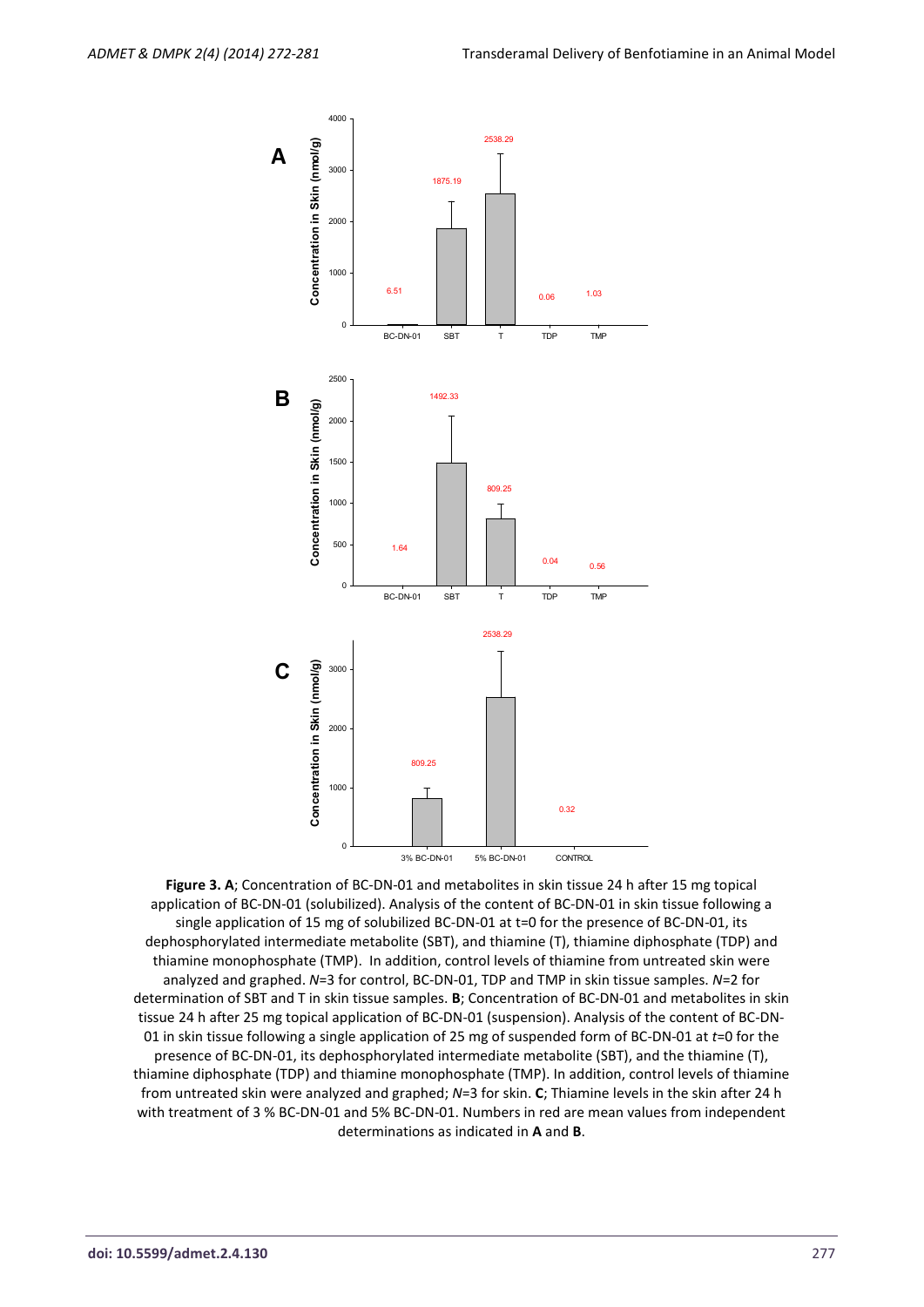

**Figure 3. A**; Concentration of BC-DN-01 and metabolites in skin tissue 24 h after 15 mg topical application of BC-DN-01 (solubilized). Analysis of the content of BC-DN-01 in skin tissue following a single application of 15 mg of solubilized BC-DN-01 at t=0 for the presence of BC-DN-01, its dephosphorylated intermediate metabolite (SBT), and thiamine (T), thiamine diphosphate (TDP) and thiamine monophosphate (TMP). In addition, control levels of thiamine from untreated skin were analyzed and graphed. *N*=3 for control, BC-DN-01, TDP and TMP in skin tissue samples. *N*=2 for determination of SBT and T in skin tissue samples. **B**; Concentration of BC-DN-01 and metabolites in skin tissue 24 h after 25 mg topical application of BC-DN-01 (suspension). Analysis of the content of BC-DN-01 in skin tissue following a single application of 25 mg of suspended form of BC-DN-01 at *t*=0 for the presence of BC-DN-01, its dephosphorylated intermediate metabolite (SBT), and the thiamine (T), thiamine diphosphate (TDP) and thiamine monophosphate (TMP). In addition, control levels of thiamine from untreated skin were analyzed and graphed; *N*=3 for skin. **C**; Thiamine levels in the skin after 24 h with treatment of 3 % BC-DN-01 and 5% BC-DN-01. Numbers in red are mean values from independent determinations as indicated in **A** and **B**.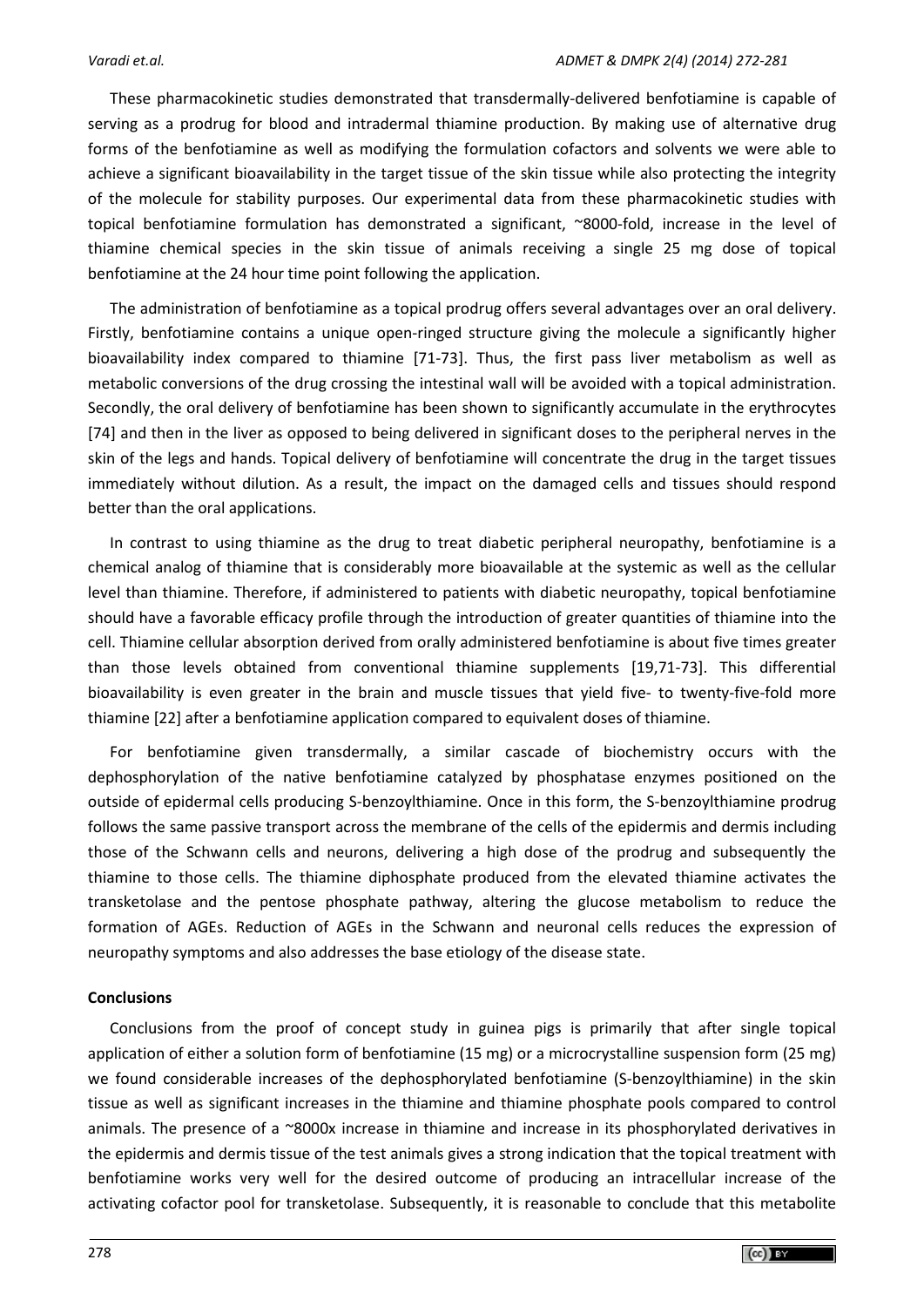These pharmacokinetic studies demonstrated that transdermally-delivered benfotiamine is capable of serving as a prodrug for blood and intradermal thiamine production. By making use of alternative drug forms of the benfotiamine as well as modifying the formulation cofactors and solvents we were able to achieve a significant bioavailability in the target tissue of the skin tissue while also protecting the integrity of the molecule for stability purposes. Our experimental data from these pharmacokinetic studies with topical benfotiamine formulation has demonstrated a significant, ~8000-fold, increase in the level of thiamine chemical species in the skin tissue of animals receiving a single 25 mg dose of topical benfotiamine at the 24 hour time point following the application.

The administration of benfotiamine as a topical prodrug offers several advantages over an oral delivery. Firstly, benfotiamine contains a unique open-ringed structure giving the molecule a significantly higher bioavailability index compared to thiamine [71-73]. Thus, the first pass liver metabolism as well as metabolic conversions of the drug crossing the intestinal wall will be avoided with a topical administration. Secondly, the oral delivery of benfotiamine has been shown to significantly accumulate in the erythrocytes [74] and then in the liver as opposed to being delivered in significant doses to the peripheral nerves in the skin of the legs and hands. Topical delivery of benfotiamine will concentrate the drug in the target tissues immediately without dilution. As a result, the impact on the damaged cells and tissues should respond better than the oral applications.

In contrast to using thiamine as the drug to treat diabetic peripheral neuropathy, benfotiamine is a chemical analog of thiamine that is considerably more bioavailable at the systemic as well as the cellular level than thiamine. Therefore, if administered to patients with diabetic neuropathy, topical benfotiamine should have a favorable efficacy profile through the introduction of greater quantities of thiamine into the cell. Thiamine cellular absorption derived from orally administered benfotiamine is about five times greater than those levels obtained from conventional thiamine supplements [19,71-73]. This differential bioavailability is even greater in the brain and muscle tissues that yield five- to twenty-five-fold more thiamine [22] after a benfotiamine application compared to equivalent doses of thiamine.

For benfotiamine given transdermally, a similar cascade of biochemistry occurs with the dephosphorylation of the native benfotiamine catalyzed by phosphatase enzymes positioned on the outside of epidermal cells producing S-benzoylthiamine. Once in this form, the S-benzoylthiamine prodrug follows the same passive transport across the membrane of the cells of the epidermis and dermis including those of the Schwann cells and neurons, delivering a high dose of the prodrug and subsequently the thiamine to those cells. The thiamine diphosphate produced from the elevated thiamine activates the transketolase and the pentose phosphate pathway, altering the glucose metabolism to reduce the formation of AGEs. Reduction of AGEs in the Schwann and neuronal cells reduces the expression of neuropathy symptoms and also addresses the base etiology of the disease state.

# **Conclusions**

Conclusions from the proof of concept study in guinea pigs is primarily that after single topical application of either a solution form of benfotiamine (15 mg) or a microcrystalline suspension form (25 mg) we found considerable increases of the dephosphorylated benfotiamine (S-benzoylthiamine) in the skin tissue as well as significant increases in the thiamine and thiamine phosphate pools compared to control animals. The presence of a ~8000x increase in thiamine and increase in its phosphorylated derivatives in the epidermis and dermis tissue of the test animals gives a strong indication that the topical treatment with benfotiamine works very well for the desired outcome of producing an intracellular increase of the activating cofactor pool for transketolase. Subsequently, it is reasonable to conclude that this metabolite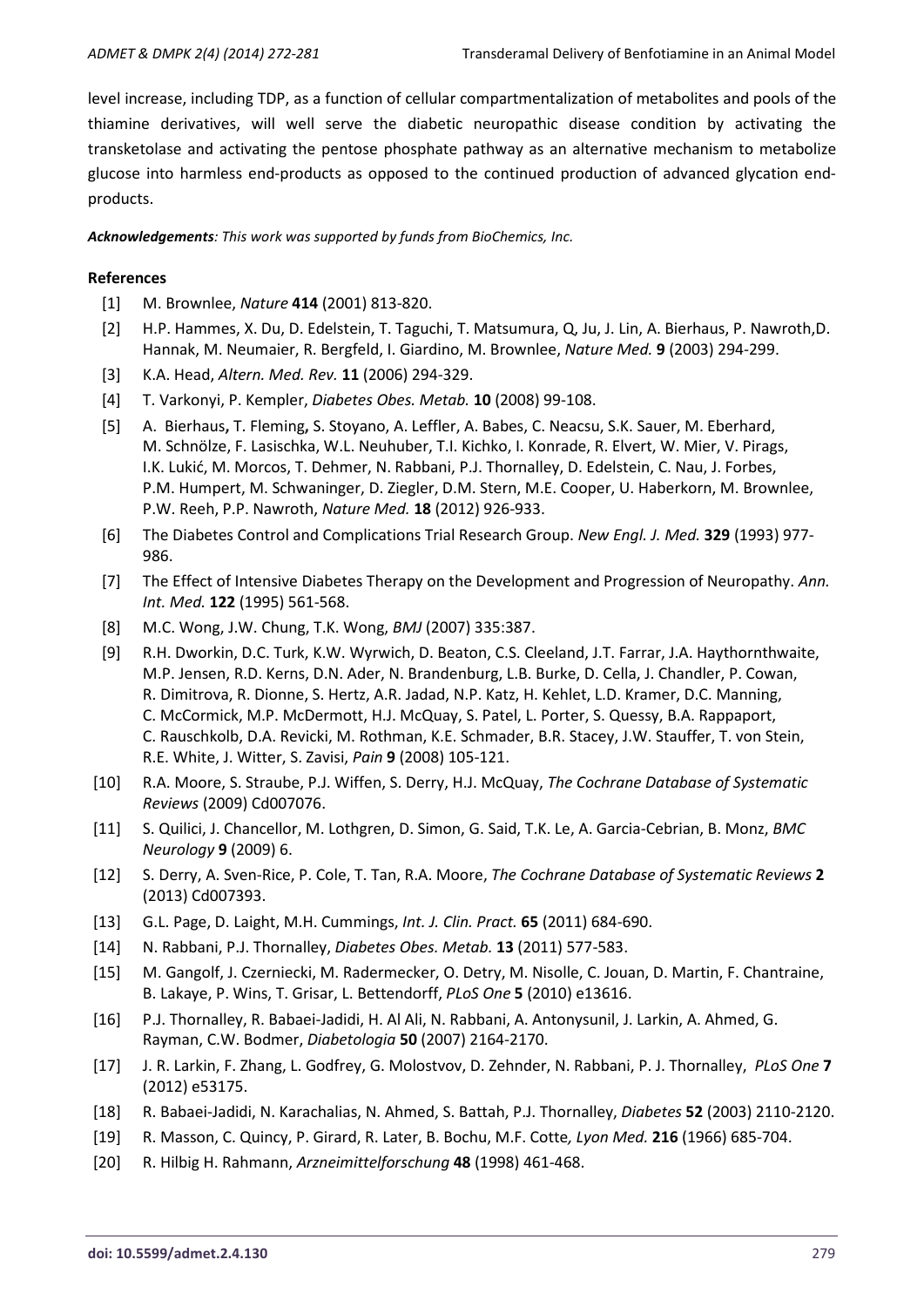level increase, including TDP, as a function of cellular compartmentalization of metabolites and pools of the thiamine derivatives, will well serve the diabetic neuropathic disease condition by activating the transketolase and activating the pentose phosphate pathway as an alternative mechanism to metabolize glucose into harmless end-products as opposed to the continued production of advanced glycation endproducts.

*Acknowledgements: This work was supported by funds from BioChemics, Inc.*

# **References**

- [1] M. Brownlee, *Nature* **414** (2001) 813-820.
- [2] H.P. Hammes, X. Du, D. Edelstein, T. Taguchi, T. Matsumura, Q, Ju, J. Lin, A. Bierhaus, P. Nawroth,D. Hannak, M. Neumaier, R. Bergfeld, I. Giardino, M. Brownlee, *Nature Med.* **9** (2003) 294-299.
- [3] K.A. Head, *Altern. Med. Rev.* **11** (2006) 294-329.
- [4] T. Varkonyi, P. Kempler, *Diabetes Obes. Metab.* **10** (2008) 99-108.
- [5] A. Bierhaus**,** T. Fleming**,** S. Stoyano, A. Leffler, A. Babes, C. Neacsu, S.K. Sauer, M. Eberhard, M. Schnölze, F. Lasischka, W.L. Neuhuber, T.I. Kichko, I. Konrade, R. Elvert, W. Mier, V. Pirags, I.K. Lukić, M. Morcos, T. Dehmer, N. Rabbani, P.J. Thornalley, D. Edelstein, C. Nau, J. Forbes, P.M. Humpert, M. Schwaninger, D. Ziegler, D.M. Stern, M.E. Cooper, U. Haberkorn, M. Brownlee, P.W. Reeh, P.P. Nawroth, *Nature Med.* **18** (2012) 926-933.
- [6] The Diabetes Control and Complications Trial Research Group. *New Engl. J. Med.* **329** (1993) 977- 986.
- [7] The Effect of Intensive Diabetes Therapy on the Development and Progression of Neuropathy. *Ann. Int. Med.* **122** (1995) 561-568.
- [8] M.C. Wong, J.W. Chung, T.K. Wong, *BMJ* (2007) 335:387.
- [9] R.H. Dworkin, D.C. Turk, K.W. Wyrwich, D. Beaton, C.S. Cleeland, J.T. Farrar, J.A. Haythornthwaite, M.P. Jensen, R.D. Kerns, D.N. Ader, N. Brandenburg, L.B. Burke, D. Cella, J. Chandler, P. Cowan, R. Dimitrova, R. Dionne, S. Hertz, A.R. Jadad, N.P. Katz, H. Kehlet, L.D. Kramer, D.C. Manning, C. McCormick, M.P. McDermott, H.J. McQuay, S. Patel, L. Porter, S. Quessy, B.A. Rappaport, C. Rauschkolb, D.A. Revicki, M. Rothman, K.E. Schmader, B.R. Stacey, J.W. Stauffer, T. von Stein, R.E. White, J. Witter, S. Zavisi, *Pain* **9** (2008) 105-121.
- [10] R.A. Moore, S. Straube, P.J. Wiffen, S. Derry, H.J. McQuay, *The Cochrane Database of Systematic Reviews* (2009) Cd007076.
- [11] S. Quilici, J. Chancellor, M. Lothgren, D. Simon, G. Said, T.K. Le, A. Garcia-Cebrian, B. Monz, *BMC Neurology* **9** (2009) 6.
- [12] S. Derry, A. Sven-Rice, P. Cole, T. Tan, R.A. Moore, *The Cochrane Database of Systematic Reviews* **2** (2013) Cd007393.
- [13] G.L. Page, D. Laight, M.H. Cummings, *Int. J. Clin. Pract.* **65** (2011) 684-690.
- [14] N. Rabbani, P.J. Thornalley, *Diabetes Obes. Metab.* **13** (2011) 577-583.
- [15] M. Gangolf, J. Czerniecki, M. Radermecker, O. Detry, M. Nisolle, C. Jouan, D. Martin, F. Chantraine, B. Lakaye, P. Wins, T. Grisar, L. Bettendorff, *PLoS One* **5** (2010) e13616.
- [16] P.J. Thornalley, R. Babaei-Jadidi, H. Al Ali, N. Rabbani, A. Antonysunil, J. Larkin, A. Ahmed, G. Rayman, C.W. Bodmer, *Diabetologia* **50** (2007) 2164-2170.
- [17] J. R. Larkin, F. Zhang, L. Godfrey, G. Molostvov, D. Zehnder, N. Rabbani, P. J. Thornalley, *PLoS One* **7** (2012) e53175.
- [18] R. Babaei-Jadidi, N. Karachalias, N. Ahmed, S. Battah, P.J. Thornalley, *Diabetes* **52** (2003) 2110-2120.
- [19] R. Masson, C. Quincy, P. Girard, R. Later, B. Bochu, M.F. Cotte*, Lyon Med.* **216** (1966) 685-704.
- [20] R. Hilbig H. Rahmann, *Arzneimittelforschung* **48** (1998) 461-468.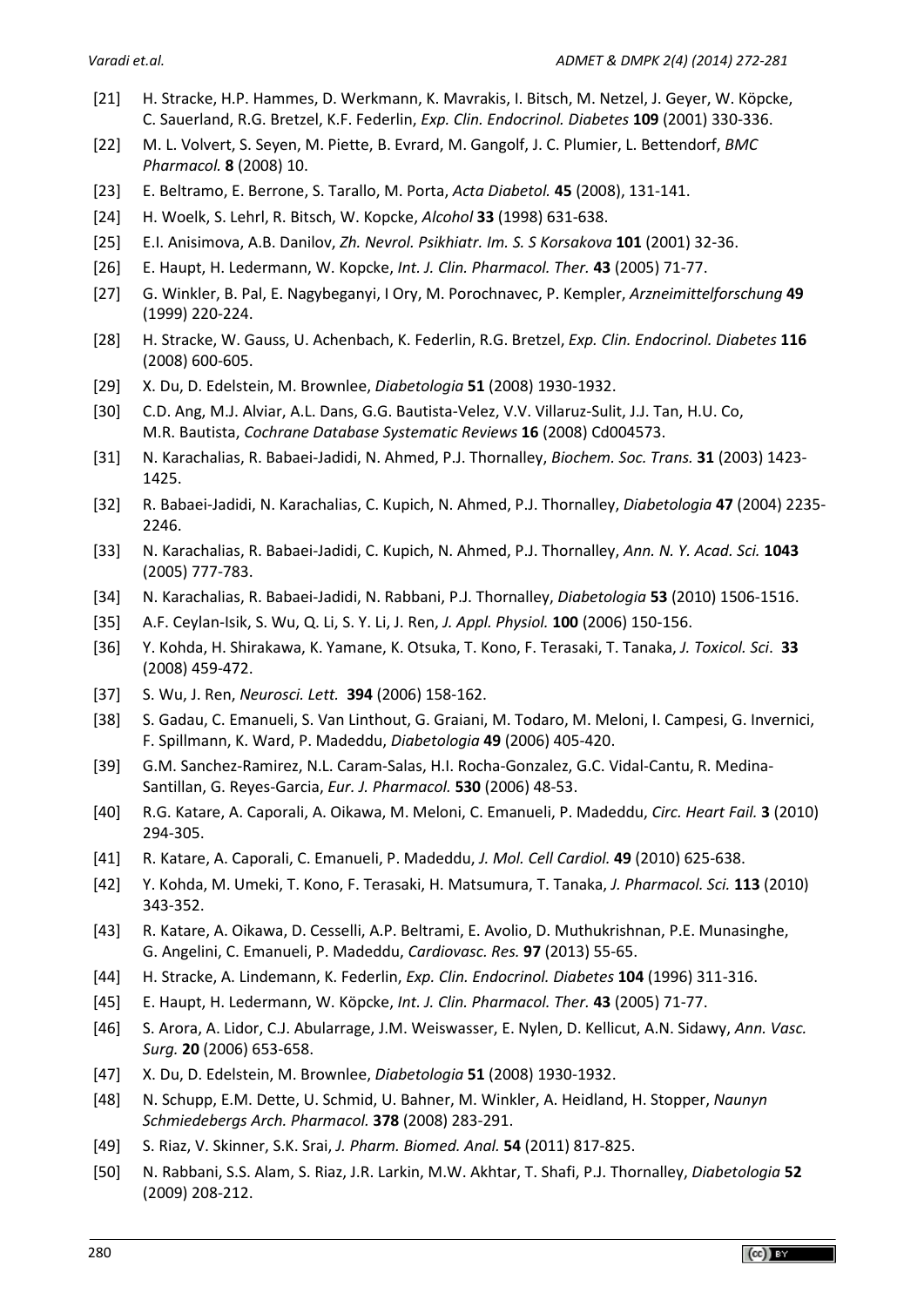- [21] H. Stracke, H.P. Hammes, D. Werkmann, K. Mavrakis, I. Bitsch, M. Netzel, J. Geyer, W. Köpcke, C. Sauerland, R.G. Bretzel, K.F. Federlin, *Exp. Clin. Endocrinol. Diabetes* **109** (2001) 330-336.
- [22] M. L. Volvert, S. Seyen, M. Piette, B. Evrard, M. Gangolf, J. C. Plumier, L. Bettendorf, *BMC Pharmacol.* **8** (2008) 10.
- [23] E. Beltramo, E. Berrone, S. Tarallo, M. Porta, *Acta Diabetol.* **45** (2008), 131-141.
- [24] H. Woelk, S. Lehrl, R. Bitsch, W. Kopcke, *Alcohol* **33** (1998) 631-638.
- [25] E.I. Anisimova, A.B. Danilov, *Zh. Nevrol. Psikhiatr. Im. S. S Korsakova* **101** (2001) 32-36.
- [26] E. Haupt, H. Ledermann, W. Kopcke, *Int. J. Clin. Pharmacol. Ther.* **43** (2005) 71-77.
- [27] G. Winkler, B. Pal, E. Nagybeganyi, I Ory, M. Porochnavec, P. Kempler, *Arzneimittelforschung* **49** (1999) 220-224.
- [28] H. Stracke, W. Gauss, U. Achenbach, K. Federlin, R.G. Bretzel, *Exp. Clin. Endocrinol. Diabetes* **116** (2008) 600-605.
- [29] X. Du, D. Edelstein, M. Brownlee, *Diabetologia* **51** (2008) 1930-1932.
- [30] C.D. Ang, M.J. Alviar, A.L. Dans, G.G. Bautista-Velez, V.V. Villaruz-Sulit, J.J. Tan, H.U. Co, M.R. Bautista, *Cochrane Database Systematic Reviews* **16** (2008) Cd004573.
- [31] N. Karachalias, R. Babaei-Jadidi, N. Ahmed, P.J. Thornalley, *Biochem. Soc. Trans.* **31** (2003) 1423- 1425.
- [32] R. Babaei-Jadidi, N. Karachalias, C. Kupich, N. Ahmed, P.J. Thornalley, *Diabetologia* **47** (2004) 2235- 2246.
- [33] N. Karachalias, R. Babaei-Jadidi, C. Kupich, N. Ahmed, P.J. Thornalley, *Ann. N. Y. Acad. Sci.* **1043** (2005) 777-783.
- [34] N. Karachalias, R. Babaei-Jadidi, N. Rabbani, P.J. Thornalley, *Diabetologia* **53** (2010) 1506-1516.
- [35] A.F. Ceylan-Isik, S. Wu, Q. Li, S. Y. Li, J. Ren, *J. Appl. Physiol.* **100** (2006) 150-156.
- [36] Y. Kohda, H. Shirakawa, K. Yamane, K. Otsuka, T. Kono, F. Terasaki, T. Tanaka, *J. Toxicol. Sci*. **33** (2008) 459-472.
- [37] S. Wu, J. Ren, *Neurosci. Lett.* **394** (2006) 158-162.
- [38] S. Gadau, C. Emanueli, S. Van Linthout, G. Graiani, M. Todaro, M. Meloni, I. Campesi, G. Invernici, F. Spillmann, K. Ward, P. Madeddu, *Diabetologia* **49** (2006) 405-420.
- [39] G.M. Sanchez-Ramirez, N.L. Caram-Salas, H.I. Rocha-Gonzalez, G.C. Vidal-Cantu, R. Medina-Santillan, G. Reyes-Garcia, *Eur. J. Pharmacol.* **530** (2006) 48-53.
- [40] R.G. Katare, A. Caporali, A. Oikawa, M. Meloni, C. Emanueli, P. Madeddu, *Circ. Heart Fail.* **3** (2010) 294-305.
- [41] R. Katare, A. Caporali, C. Emanueli, P. Madeddu, *J. Mol. Cell Cardiol.* **49** (2010) 625-638.
- [42] Y. Kohda, M. Umeki, T. Kono, F. Terasaki, H. Matsumura, T. Tanaka, *J. Pharmacol. Sci.* **113** (2010) 343-352.
- [43] R. Katare, A. Oikawa, D. Cesselli, A.P. Beltrami, E. Avolio, D. Muthukrishnan, P.E. Munasinghe, G. Angelini, C. Emanueli, P. Madeddu, *Cardiovasc. Res.* **97** (2013) 55-65.
- [44] H. Stracke, A. Lindemann, K. Federlin, *Exp. Clin. Endocrinol. Diabetes* **104** (1996) 311-316.
- [45] E. Haupt, H. Ledermann, W. Köpcke, *Int. J. Clin. Pharmacol. Ther.* **43** (2005) 71-77.
- [46] S. Arora, A. Lidor, C.J. Abularrage, J.M. Weiswasser, E. Nylen, D. Kellicut, A.N. Sidawy, *Ann. Vasc. Surg.* **20** (2006) 653-658.
- [47] X. Du, D. Edelstein, M. Brownlee, *Diabetologia* **51** (2008) 1930-1932.
- [48] N. Schupp, E.M. Dette, U. Schmid, U. Bahner, M. Winkler, A. Heidland, H. Stopper, *Naunyn Schmiedebergs Arch. Pharmacol.* **378** (2008) 283-291.
- [49] S. Riaz, V. Skinner, S.K. Srai, *J. Pharm. Biomed. Anal.* **54** (2011) 817-825.
- [50] N. Rabbani, S.S. Alam, S. Riaz, J.R. Larkin, M.W. Akhtar, T. Shafi, P.J. Thornalley, *Diabetologia* **52** (2009) 208-212.